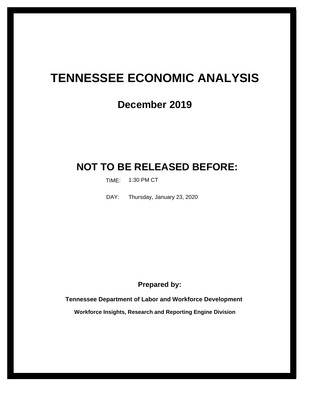# **TENNESSEE ECONOMIC ANALYSIS**

## **December 2019**

## **NOT TO BE RELEASED BEFORE:**

TIME: 1:30 PM CT

Thursday, January 23, 2020 DAY:

**Prepared by:**

**Tennessee Department of Labor and Workforce Development**

**Workforce Insights, Research and Reporting Engine Division**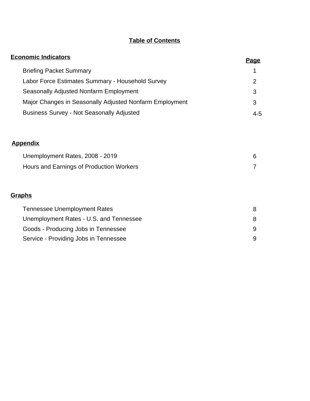## **Table of Contents**

| <b>Economic Indicators</b>                              | <u>Page</u>    |
|---------------------------------------------------------|----------------|
| <b>Briefing Packet Summary</b>                          | 1              |
| Labor Force Estimates Summary - Household Survey        | $\overline{2}$ |
| Seasonally Adjusted Nonfarm Employment                  | 3              |
| Major Changes in Seasonally Adjusted Nonfarm Employment | 3              |
| <b>Business Survey - Not Seasonally Adjusted</b>        | $4 - 5$        |
|                                                         |                |
| <b>Appendix</b>                                         |                |
| Unemployment Rates, 2008 - 2019                         | 6              |
| Hours and Earnings of Production Workers                | 7              |
|                                                         |                |
| <b>Graphs</b>                                           |                |
| <b>Tennessee Unemployment Rates</b>                     | 8              |
| Unemployment Rates - U.S. and Tennessee                 | 8              |
| Goods - Producing Jobs in Tennessee                     | 9              |
| Service - Providing Jobs in Tennessee                   | 9              |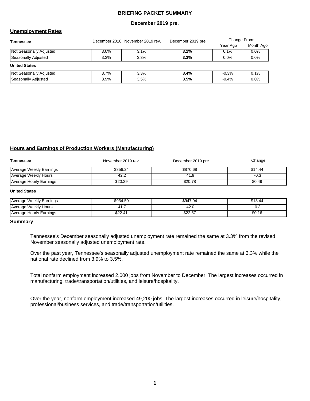#### **BRIEFING PACKET SUMMARY**

#### **December 2019 pre.**

#### **Unemployment Rates**

| <b>Tennessee</b>               |         | December 2018 November 2019 rev. | December 2019 pre. | Change From: |           |  |
|--------------------------------|---------|----------------------------------|--------------------|--------------|-----------|--|
|                                |         |                                  |                    | Year Ago     | Month Ago |  |
| <b>Not Seasonally Adjusted</b> | $3.0\%$ | 3.1%                             | 3.1%               | 0.1%         | 0.0%      |  |
| Seasonally Adjusted            | 3.3%    | 3.3%                             | 3.3%               | 0.0%         | 0.0%      |  |
| <b>United States</b>           |         |                                  |                    |              |           |  |
| <b>Not Seasonally Adjusted</b> | $3.7\%$ | 3.3%                             | 3.4%               | $-0.3%$      | 0.1%      |  |
| Seasonally Adjusted            | 3.9%    | 3.5%                             | 3.5%               | $-0.4\%$     | 0.0%      |  |

#### **Hours and Earnings of Production Workers (Manufacturing)**

| Tennessee               | November 2019 rev. | December 2019 pre. | Change  |
|-------------------------|--------------------|--------------------|---------|
| Average Weekly Earnings | \$856.24           | \$870.68           | \$14.44 |
| Average Weekly Hours    | 42.2               | 41.9               | -0.3    |
| Average Hourly Earnings | \$20.29            | \$20.78            | \$0.49  |

#### **United States**

| Average Weekly Earnings | \$934.50 | \$947.94 | \$13.44 |
|-------------------------|----------|----------|---------|
| Average Weekly Hours    | r        | 42.U     | ∪.∪     |
| Average Hourly Earnings | \$22.41  | \$22.57  | \$0.16  |

#### **Summary**

Tennessee's December seasonally adjusted unemployment rate remained the same at 3.3% from the revised November seasonally adjusted unemployment rate.

Over the past year, Tennessee's seasonally adjusted unemployment rate remained the same at 3.3% while the national rate declined from 3.9% to 3.5%.

Total nonfarm employment increased 2,000 jobs from November to December. The largest increases occurred in manufacturing, trade/transportation/utilities, and leisure/hospitality.

Over the year, nonfarm employment increased 49,200 jobs. The largest increases occurred in leisure/hospitality, professional/business services, and trade/transportation/utilities.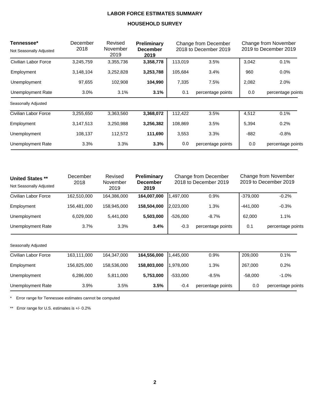### **LABOR FORCE ESTIMATES SUMMARY**

### **HOUSEHOLD SURVEY**

| Tennessee*               | December                            | Revised          | Preliminary             |         | Change from December  | Change from November<br>2019 to December 2019 |                   |  |
|--------------------------|-------------------------------------|------------------|-------------------------|---------|-----------------------|-----------------------------------------------|-------------------|--|
| Not Seasonally Adjusted  | 2018                                | November<br>2019 | <b>December</b><br>2019 |         | 2018 to December 2019 |                                               |                   |  |
| Civilian Labor Force     | 3,245,759                           | 3,355,736        | 3,358,778               | 113,019 | 3.5%                  | 3,042                                         | 0.1%              |  |
| Employment               | 3,148,104                           | 3,252,828        | 3,253,788               | 105,684 | 3.4%                  | 960                                           | $0.0\%$           |  |
| Unemployment             | 97,655                              | 102,908          | 104,990                 | 7,335   | 7.5%                  | 2,082                                         | 2.0%              |  |
| <b>Unemployment Rate</b> | 3.0%                                | 3.1%             | 3.1%                    | 0.1     | percentage points     |                                               | percentage points |  |
| Seasonally Adjusted      |                                     |                  |                         |         |                       |                                               |                   |  |
| Civilian Labor Force     | 3,255,650                           | 3,363,560        | 3,368,072               | 112,422 | 3.5%                  | 4,512                                         | 0.1%              |  |
| Employment               | 3,256,382<br>3,147,513<br>3,250,988 |                  |                         | 108,869 | 3.5%                  | 5,394                                         | 0.2%              |  |
| Unemployment             | 108,137                             | 112,572          | 111,690                 | 3,553   | 3.3%                  | $-882$                                        | $-0.8%$           |  |
| Unemployment Rate        | 3.3%                                | 3.3%             | 3.3%                    | 0.0     | percentage points     | 0.0                                           | percentage points |  |

| <b>United States **</b><br>Not Seasonally Adjusted | December<br>2018 | Revised<br>November<br>2019 | <b>Preliminary</b><br><b>December</b><br>2019 |                             | Change from December<br>2018 to December 2019 | Change from November<br>2019 to December 2019 |                   |  |
|----------------------------------------------------|------------------|-----------------------------|-----------------------------------------------|-----------------------------|-----------------------------------------------|-----------------------------------------------|-------------------|--|
| Civilian Labor Force                               | 162,510,000      | 164,386,000                 | 164,007,000                                   | 1,497,000                   | 0.9%                                          | $-379,000$                                    | $-0.2%$           |  |
| Employment                                         | 156,481,000      | 158,945,000                 | 158,504,000                                   | 2,023,000                   | 1.3%                                          | $-441,000$                                    | $-0.3%$           |  |
| Unemployment                                       | 6,029,000        | 5,441,000                   | 5,503,000                                     | $-526,000$                  | $-8.7%$                                       | 62,000                                        | 1.1%              |  |
| Unemployment Rate                                  | 3.7%             | 3.3%                        | 3.4%                                          | $-0.3$<br>percentage points |                                               | 0.1                                           | percentage points |  |
| Seasonally Adjusted                                |                  |                             |                                               |                             |                                               |                                               |                   |  |
| Civilian Labor Force                               | 163,111,000      | 164,347,000                 | 164,556,000                                   | 1,445,000                   | 0.9%                                          | 209,000                                       | 0.1%              |  |
| Employment                                         | 156,825,000      | 158,536,000                 | 158,803,000                                   | 1,978,000                   | 1.3%                                          | 267,000                                       | 0.2%              |  |
| Unemployment                                       | 6,286,000        | 5,811,000                   | 5,753,000                                     | $-533,000$                  | $-8.5%$                                       | $-58,000$                                     | $-1.0%$           |  |
| Unemployment Rate                                  | 3.9%             | 3.5%                        | 3.5%                                          | $-0.4$                      | percentage points                             | 0.0                                           | percentage points |  |

\* Error range for Tennessee estimates cannot be computed

\*\* Error range for U.S. estimates is +/- 0.2%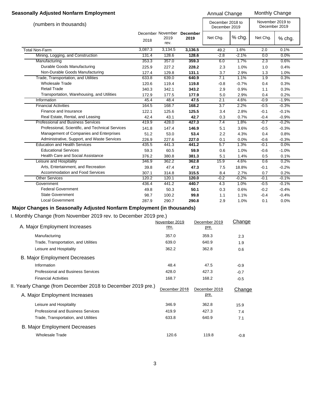#### **Seasonally Adjusted Nonfarm Employment Annual Change Monthly Change Monthly Change**

|                                                  |         |              |                                    | Amuudi Ondinyo   |                                   |          |                                   |  |
|--------------------------------------------------|---------|--------------|------------------------------------|------------------|-----------------------------------|----------|-----------------------------------|--|
| (numbers in thousands)                           |         |              |                                    |                  | December 2018 to<br>December 2019 |          | November 2019 to<br>December 2019 |  |
|                                                  | 2018    | 2019<br>rev. | December November December<br>2019 | Net Chg.         | % chg.                            | Net Chg. | % chg.                            |  |
| Total Non-Farm                                   | 3,087.3 | 3,134.5      | 3,136.5                            | 49.2             | 1.6%                              | 2.0      | 0.1%                              |  |
| Mining, Logging, and Construction                | 131.4   | 128.6        | 128.6                              | $-2.8$           | $-2.1%$                           | 0.0      | 0.0%                              |  |
| Manufacturing                                    | 353.3   | 357.0        | 359.3                              | 6.0              | 1.7%                              | 2.3      | 0.6%                              |  |
| Durable Goods Manufacturing                      | 225.9   | 227.2        | 228.2                              | 2.3              | 1.0%                              | 1.0      | 0.4%                              |  |
| Non-Durable Goods Manufacturing                  | 127.4   | 129.8        | 131.1                              | 3.7              | 2.9%                              | 1.3      | 1.0%                              |  |
| Trade, Transportation, and Utilities             | 633.8   | 639.0        | 640.9                              | 7.1              | 1.1%                              | 1.9      | 0.3%                              |  |
| <b>Wholesale Trade</b>                           | 120.6   | 119.4        | 119.8                              | $-0.8$           | $-0.7%$                           | 0.4      | 0.3%                              |  |
| <b>Retail Trade</b>                              | 340.3   | 342.1        | 343.2                              | 2.9              | 0.9%                              | 1.1      | 0.3%                              |  |
| Transportation, Warehousing, and Utilities       | 172.9   | 177.5        | 177.9                              | 5.0              | 2.9%                              | 0.4      | 0.2%                              |  |
| Information                                      | 45.4    | 48.4         | 47.5                               | 2.1              | 4.6%                              | $-0.9$   | $-1.9%$                           |  |
| <b>Financial Activities</b>                      | 164.5   | 168.7        | 168.2                              | $\overline{3.7}$ | 2.2%                              | $-0.5$   | $-0.3%$                           |  |
| Finance and Insurance                            | 122.1   | 125.6        | 125.5                              | 3.4              | 2.8%                              | $-0.1$   | $-0.1%$                           |  |
| Real Estate, Rental, and Leasing                 | 42.4    | 43.1         | 42.7                               | 0.3              | 0.7%                              | $-0.4$   | $-0.9%$                           |  |
| <b>Professional and Business Services</b>        | 419.9   | 428.0        | 427.3                              | 7.4              | 1.8%                              | $-0.7$   | $-0.2%$                           |  |
| Professional, Scientific, and Technical Services | 141.8   | 147.4        | 146.9                              | 5.1              | 3.6%                              | $-0.5$   | $-0.3%$                           |  |
| Management of Companies and Enterprises          | 51.2    | 53.0         | 53.4                               | 2.2              | 4.3%                              | 0.4      | 0.8%                              |  |
| Administrative, Support, and Waste Services      | 226.9   | 227.6        | 227.0                              | 0.1              | 0.0%                              | $-0.6$   | $-0.3%$                           |  |
| <b>Education and Health Services</b>             | 435.5   | 441.3        | 441.2                              | 5.7              | 1.3%                              | $-0.1$   | 0.0%                              |  |
| <b>Educational Services</b>                      | 59.3    | 60.5         | 59.9                               | 0.6              | 1.0%                              | $-0.6$   | $-1.0%$                           |  |
| <b>Health Care and Social Assistance</b>         | 376.2   | 380.8        | 381.3                              | 5.1              | 1.4%                              | 0.5      | 0.1%                              |  |
| Leisure and Hospitality                          | 346.9   | 362.2        | 362.8                              | 15.9             | 4.6%                              | 0.6      | 0.2%                              |  |
| Arts, Entertainment, and Recreation              | 39.8    | 47.4         | 47.3                               | 7.5              | 18.8%                             | $-0.1$   | $-0.2%$                           |  |
| Accommodation and Food Services                  | 307.1   | 314.8        | 315.5                              | 8.4              | 2.7%                              | 0.7      | 0.2%                              |  |
| Other Services                                   | 120.2   | 120.1        | 120.0                              | $-0.2$           | $-0.2%$                           | $-0.1$   | $-0.1%$                           |  |
| Government                                       | 436.4   | 441.2        | 440.7                              | 4.3              | 1.0%                              | $-0.5$   | $-0.1%$                           |  |
| <b>Federal Government</b>                        | 49.8    | 50.3         | 50.1                               | 0.3              | 0.6%                              | $-0.2$   | $-0.4%$                           |  |
| <b>State Government</b>                          | 98.7    | 100.2        | 99.8                               | 1.1              | 1.1%                              | $-0.4$   | $-0.4%$                           |  |
| <b>Local Government</b>                          | 287.9   | 290.7        | 290.8                              | 2.9              | 1.0%                              | 0.1      | 0.0%                              |  |

## **Major Changes in Seasonally Adjusted Nonfarm Employment (in thousands)**

I. Monthly Change (from November 2019 rev. to December 2019 pre.)

|                                                              | November 2019 | December 2019 | Change |
|--------------------------------------------------------------|---------------|---------------|--------|
| A. Major Employment Increases                                | rev.          | pre.          |        |
| Manufacturing                                                | 357.0         | 359.3         | 2.3    |
| Trade, Transportation, and Utilities                         | 639.0         | 640.9         | 1.9    |
| Leisure and Hospitality                                      | 362.2         | 362.8         | 0.6    |
| <b>B. Major Employment Decreases</b>                         |               |               |        |
| Information                                                  | 48.4          | 47.5          | $-0.9$ |
| Professional and Business Services                           | 428.0         | 427.3         | $-0.7$ |
| <b>Financial Activities</b>                                  | 168.7         | 168.2         | $-0.5$ |
| II. Yearly Change (from December 2018 to December 2019 pre.) | December 2018 | December 2019 | Change |
| A. Major Employment Increases                                |               | pre.          |        |
| Leisure and Hospitality                                      | 346.9         | 362.8         | 15.9   |
| <b>Professional and Business Services</b>                    | 419.9         | 427.3         | 7.4    |
| Trade, Transportation, and Utilities                         | 633.8         | 640.9         | 7.1    |
| <b>B. Major Employment Decreases</b>                         |               |               |        |
| <b>Wholesale Trade</b>                                       | 120.6         | 119.8         | $-0.8$ |
|                                                              |               |               |        |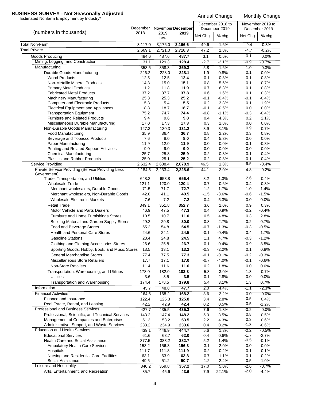## **BUSINESS SURVEY - Not Seasonally Adjusted**<br>Estimated Nonfarm Employment by Industry\*<br>Annual Change Monthly Change

| $\epsilon$                                                           | December November December |               |               | December 2018 to<br>December 2019 |                 | November 2019 to<br>December 2019 |                 |
|----------------------------------------------------------------------|----------------------------|---------------|---------------|-----------------------------------|-----------------|-----------------------------------|-----------------|
| (numbers in thousands)                                               | 2018                       | 2019<br>rev.  | 2019          | Net Chg.                          | % chg.          | Net Chg.                          | % chg.          |
| Total Non-Farm                                                       | 3,117.0                    | 3,176.0       | 3,166.6       | 49.6                              | 1.6%            | $-9.4$                            | $-0.3%$         |
| <b>Total Private</b>                                                 | 2,669.1                    | 2,721.0       | 2,716.3       | 47.2                              | 1.8%            | $-4.7$                            | $-0.2%$         |
| Goods Producing                                                      | 484.6                      | 487.6         | 487.7         | 3.1                               | 0.6%            | 0.1                               | 0.0%            |
| Mining, Logging, and Construction                                    | 131.1                      | 129.3         | 128.4         | $-2.7$                            | $-2.1%$         | $-0.9$                            | $-0.7%$         |
| Manufacturing                                                        | 353.5                      | 358.3         | 359.3         | 5.8                               | 1.6%            | 1.0                               | 0.3%            |
| Durable Goods Manufacturing                                          | 226.2                      | 228.0         | 228.1         | 1.9                               | 0.8%            | 0.1                               | 0.0%            |
| <b>Wood Products</b>                                                 | 12.5                       | 12.5          | 12.4          | $-0.1$                            | $-0.8%$         | $-0.1$                            | $-0.8%$         |
| <b>Non-Metallic Mineral Products</b>                                 | 14.3                       | 15.0          | 15.1          | 0.8                               | 5.6%            | 0.1                               | 0.7%            |
| <b>Primary Metal Products</b>                                        | 11.2<br>37.2               | 11.8          | 11.9          | 0.7                               | 6.3%            | 0.1                               | 0.8%            |
| <b>Fabricated Metal Products</b><br><b>Machinery Manufacturing</b>   | 25.3                       | 37.7<br>25.3  | 37.8<br>25.2  | 0.6<br>-0.1                       | 1.6%<br>$-0.4%$ | 0.1<br>$-0.1$                     | 0.3%<br>$-0.4%$ |
| <b>Computer and Electronic Products</b>                              | 5.3                        | 5.4           | 5.5           | 0.2                               | 3.8%            | 0.1                               | 1.9%            |
| <b>Electrical Equipment and Appliances</b>                           | 18.8                       | 18.7          | 18.7          | $-0.1$                            | $-0.5%$         | 0.0                               | 0.0%            |
| <b>Transportation Equipment</b>                                      | 75.2                       | 74.7          | 74.4          | $-0.8$                            | $-1.1%$         | $-0.3$                            | $-0.4%$         |
| <b>Furniture and Related Products</b>                                | 9.4                        | 9.6           | 9.8           | 0.4                               | 4.3%            | 0.2                               | 2.1%            |
| Miscellaneous Durable Manufacturing                                  | 17.0                       | 17.3          | 17.3          | 0.3                               | 1.8%            | 0.0                               | 0.0%            |
| Non-Durable Goods Manufacturing                                      | 127.3                      | 130.3         | 131.2         | 3.9                               | 3.1%            | 0.9                               | 0.7%            |
| Food Manufacturing                                                   | 35.9                       | 36.4          | 36.7          | 0.8                               | 2.2%            | 0.3                               | 0.8%            |
| Beverage and Tobacco Products                                        | 7.6                        | 8.0           | 8.0           | 0.4                               | 5.3%            | 0.0                               | 0.0%            |
| Paper Manufacturing                                                  | 11.9                       | 12.0          | 11.9          | 0.0                               | 0.0%            | -0.1                              | $-0.8%$         |
| Printing and Related Support Activities                              | 9.0                        | 9.0           | 9.0           | 0.0                               | 0.0%            | 0.0                               | 0.0%            |
| <b>Chemical Manufacturing</b><br><b>Plastics and Rubber Products</b> | 25.7<br>25.0               | 25.8<br>25.1  | 25.9<br>25.2  | 0.2<br>0.2                        | 0.8%<br>0.8%    | 0.1<br>0.1                        | 0.4%<br>0.4%    |
| Service Providing                                                    | 2,632.4                    | 2,688.4       | 2,678.9       | 46.5                              | 1.8%            | $-9.5$                            | $-0.4%$         |
| Private Service Providing (Service Providing Less                    | 2,184.5                    | 2,233.4       | 2,228.6       | 44.1                              | 2.0%            | $-4.8$                            | $-0.2%$         |
| Government)                                                          |                            |               |               |                                   |                 |                                   |                 |
| Trade, Transportation, and Utilities                                 | 648.2                      | 653.8         | 656.4         | 8.2                               | 1.3%            | 2.6                               | 0.4%            |
| <b>Wholesale Trade</b>                                               | 121.1                      | 120.0         | 120.4         | $-0.7$                            | $-0.6%$         | 0.4                               | 0.3%            |
| Merchant wholesalers, Durable Goods                                  | 71.5                       | 71.7          | 72.7          | 1.2                               | 1.7%            | 1.0                               | 1.4%            |
| Merchant wholesalers, Non-Durable Goods                              | 42.0                       | 41.1          | 40.5          | $-1.5$                            | $-3.6%$         | $-0.6$                            | $-1.5%$         |
| <b>Wholesale Electronic Markets</b>                                  | 7.6                        | 7.2           | 7.2           | $-0.4$                            | $-5.3%$         | 0.0                               | 0.0%            |
| <b>Retail Trade</b>                                                  | 349.1                      | 351.8         | 352.7         | 3.6                               | 1.0%            | 0.9                               | 0.3%            |
| Motor Vehicle and Parts Dealers                                      | 46.9                       | 47.5          | 47.3          | 0.4                               | 0.9%            | $-0.2$                            | $-0.4%$         |
| Furniture and Home Furnishings Stores                                | 10.5                       | 10.7          | 11.0          | 0.5                               | 4.8%            | 0.3                               | 2.8%            |
| <b>Building Material and Garden Supply Stores</b>                    | 29.2                       | 29.8          | 30.0          | 0.8                               | 2.7%            | 0.2                               | 0.7%            |
| Food and Beverage Stores                                             | 55.2                       | 54.8          | 54.5          | $-0.7$                            | $-1.3%$         | $-0.3$                            | $-0.5%$         |
| <b>Health and Personal Care Stores</b>                               | 24.6                       | 24.1          | 24.5          | $-0.1$                            | $-0.4%$         | 0.4                               | 1.7%            |
| <b>Gasoline Stations</b>                                             | 23.4                       | 24.8          | 24.5          | 1.1                               | 4.7%            | $-0.3$                            | $-1.2%$         |
| Clothing and Clothing Accessories Stores                             | 26.6                       | 25.8          | 26.7          | 0.1                               | 0.4%            | 0.9                               | 3.5%            |
| Sporting Goods, Hobby, Book, and Music Stores                        | 13.5                       | 13.1          | 13.2          | $-0.3$                            | $-2.2%$         | 0.1                               | 0.8%            |
| <b>General Merchandise Stores</b>                                    | 77.4                       | 77.5          | 77.3          | $-0.1$                            | $-0.1%$         | $-0.2$                            | $-0.3%$         |
| <b>Miscellaneous Store Retailers</b>                                 | 17.7                       | 17.1          | 17.0          | $-0.7$                            | $-4.0%$         | $-0.1$                            | $-0.6%$         |
| <b>Non-Store Retailers</b>                                           | 11.4                       | 11.6          | 11.6          | 0.2                               | 1.8%            | 0.0                               | 0.0%            |
| Transportation, Warehousing, and Utilities<br><b>Utilities</b>       | 178.0                      | 182.0         | 183.3         | 5.3                               | 3.0%            | 1.3                               | 0.7%            |
|                                                                      | 3.6                        | 3.5           | 3.5           | $-0.1$                            | $-2.8%$         | 0.0                               | 0.0%            |
| Transportation and Warehousing                                       | 174.4                      | 178.5         | 179.8         | 5.4                               | 3.1%            | 1.3                               | 0.7%            |
| Information<br><b>Financial Activities</b>                           | 45.7                       | 48.8          | 47.7          | 2.0                               | 4.4%            | $-1.1$                            | $-2.3%$         |
| Finance and Insurance                                                | 164.6                      | 168.2         | 168.2         | 3.6                               | 2.2%            | 0.0                               | $0.0\%$         |
| Real Estate, Rental, and Leasing                                     | 122.4<br>42.2              | 125.3<br>42.9 | 125.8<br>42.4 | 3.4<br>0.2                        | 2.8%<br>0.5%    | 0.5<br>$-0.5$                     | 0.4%<br>$-1.2%$ |
| Professional and Business Services                                   | 427.7                      | 435.5         | 435.3         | 7.6                               | 1.8%            | $-0.2$                            | 0.0%            |
| Professional, Scientific, and Technical Services                     | 143.2                      | 147.4         | 148.2         | 5.0                               | 3.5%            | 0.8                               | 0.5%            |
| Management of Companies and Enterprises                              | 51.3                       | 53.2          | 53.5          | 2.2                               | 4.3%            | 0.3                               | 0.6%            |
| Administrative, Support, and Waste Services                          | 233.2                      | 234.9         | 233.6         | 0.4                               | 0.2%            | $-1.3$                            | $-0.6%$         |
| <b>Education and Health Services</b>                                 | 439.1                      | 446.9         | 444.7         | 5.6                               | 1.3%            | $-2.2$                            | $-0.5%$         |
| <b>Educational Services</b>                                          | 61.6                       | 63.7          | 62.0          | 0.4                               | 0.6%            | $-1.7$                            | $-2.7%$         |
| Health Care and Social Assistance                                    | 377.5                      | 383.2         | 382.7         | 5.2                               | 1.4%            | $-0.5$                            | $-0.1%$         |
| <b>Ambulatory Health Care Services</b>                               | 153.2                      | 156.3         | 156.3         | 3.1                               | 2.0%            | 0.0                               | 0.0%            |
| Hospitals                                                            | 111.7                      | 111.8         | 111.9         | 0.2                               | 0.2%            | 0.1                               | 0.1%            |
| Nursing and Residential Care Facilities                              | 63.1                       | 63.9          | 63.8          | 0.7                               | 1.1%            | $-0.1$                            | $-0.2%$         |
| Social Assistance                                                    | 49.5                       | 51.2          | 50.7          | 1.2                               | 2.4%            | $-0.5$                            | $-1.0%$         |
| Leisure and Hospitality                                              | 340.2                      | 359.8         | 357.2         | 17.0                              | 5.0%            | $-2.6$                            | $-0.7%$         |
| Arts, Entertainment, and Recreation                                  | 35.7                       | 45.6          | 43.6          | 7.9                               | 22.1%           | $-2.0$                            | $-4.4%$         |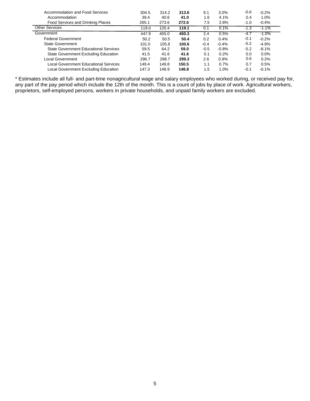| Accommodation and Food Services              | 304.5 | 314.2 | 313.6 | 9.1    | 3.0%    | $-0.6$ | $-0.2%$ |
|----------------------------------------------|-------|-------|-------|--------|---------|--------|---------|
| Accommodation                                | 39.4  | 40.6  | 41.0  | 1.6    | 4.1%    | 0.4    | 1.0%    |
| Food Services and Drinking Places            | 265.1 | 273.6 | 272.6 | 7.5    | 2.8%    | $-1.0$ | $-0.4%$ |
| <b>Other Services</b>                        | 119.0 | 120.4 | 119.1 | 0.1    | 0.1%    | -1.3   | $-1.1%$ |
| Government                                   | 447.9 | 455.0 | 450.3 | 2.4    | 0.5%    | -4.7   | $-1.0%$ |
| <b>Federal Government</b>                    | 50.2  | 50.5  | 50.4  | 0.2    | 0.4%    | -0.1   | $-0.2%$ |
| <b>State Government</b>                      | 101.0 | 105.8 | 100.6 | $-0.4$ | $-0.4%$ | $-5.2$ | $-4.9%$ |
| <b>State Government Educational Services</b> | 59.5  | 64.2  | 59.0  | $-0.5$ | $-0.8%$ | $-5.2$ | $-8.1%$ |
| State Government Excluding Education         | 41.5  | 41.6  | 41.6  | 0.1    | 0.2%    | 0.0    | $0.0\%$ |
| Local Government                             | 296.7 | 298.7 | 299.3 | 2.6    | 0.9%    | 0.6    | 0.2%    |
| Local Government Educational Services        | 149.4 | 149.8 | 150.5 | 1.1    | 0.7%    | 0.7    | 0.5%    |
| Local Government Excluding Education         | 147.3 | 148.9 | 148.8 | 1.5    | 1.0%    | $-0.1$ | $-0.1%$ |

\* Estimates include all full- and part-time nonagricultural wage and salary employees who worked during, or received pay for, any part of the pay period which include the 12th of the month. This is a count of jobs by place of work. Agricultural workers, proprietors, self-employed persons, workers in private households, and unpaid family workers are excluded.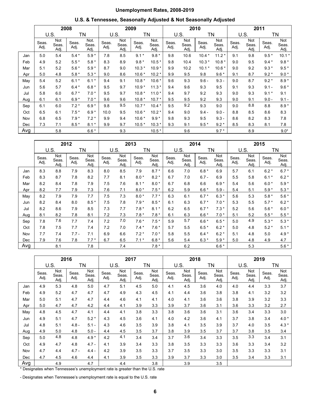## **Unemployment Rates, 2008-2019**

| U.S. & Tennessee, Seasonally Adjusted & Not Seasonally Adjusted |  |  |
|-----------------------------------------------------------------|--|--|
|-----------------------------------------------------------------|--|--|

|     | 2008          |                      |               |                       | 2009          |                      |               | 2010                  |               |                      |               | 2011                 |               |                      |               |                      |
|-----|---------------|----------------------|---------------|-----------------------|---------------|----------------------|---------------|-----------------------|---------------|----------------------|---------------|----------------------|---------------|----------------------|---------------|----------------------|
|     | U.S.          |                      | TN            |                       |               | U.S.<br>ΤN           |               |                       | U.S.          | ΤN                   |               |                      | U.S.          |                      | ΤN            |                      |
|     | Seas.<br>Adj. | Not<br>Seas.<br>Adj. | Seas.<br>Adj. | Not.<br>Seas.<br>Adj. | Seas.<br>Adj. | Not<br>Seas.<br>Adj. | Seas.<br>Adj. | Not.<br>Seas.<br>Adj. | Seas.<br>Adj. | Not<br>Seas.<br>Adj. | Seas.<br>Adj. | Not<br>Seas.<br>Adj. | Seas.<br>Adj. | Not<br>Seas.<br>Adj. | Seas.<br>Adj. | Not<br>Seas.<br>Adj. |
| Jan | 5.0           | 5.4                  | $5.4*$        | $5.9*$                | 7.8           | 8.5                  | $9.1*$        | $9.8*$                | 9.8           | 10.6                 | $10.4*$       | $11.2*$              | 9.1           | 9.8                  | $9.5*$        | $10.1*$              |
| Feb | 4.9           | 5.2                  | $5.5*$        | $5.8*$                | 8.3           | 8.9                  | $9.8*$        | $10.5*$               | 9.8           | 10.4                 | $10.3*$       | $10.8*$              | 9.0           | 9.5                  | $9.4*$        | $9.8*$               |
| Mar | 5.1           | 5.2                  | $5.6*$        | $5.9*$                | 8.7           | 9.0                  | $10.3*$       | $10.9*$               | 9.9           | 10.2                 | $10.1*$       | $10.6*$              | 9.0           | 9.2                  | $9.3*$        | $9.5*$               |
| Apr | 5.0           | 4.8                  | $5.8*$        | $5.3*$                | 9.0           | 8.6                  | $10.6*$       | $10.2*$               | 9.9           | 9.5                  | 9.8           | $9.6*$               | 9.1           | 8.7                  | $9.2*$        | $9.0*$               |
| May | 5.4           | 5.2                  | $6.1*$        | $6.1*$                | 9.4           | 9.1                  | $10.8*$       | $10.6*$               | 9.6           | 9.3                  | $9.6 -$       | $9.3 -$              | 9.0           | 8.7                  | $9.2*$        | $8.9*$               |
| Jun | 5.6           | 5.7                  | $6.4*$        | $6.8*$                | 9.5           | 9.7                  | $10.9*$       | $11.3*$               | 9.4           | 9.6                  | 9.3           | 9.5                  | 9.1           | 9.3                  | $9.1 -$       | $9.6*$               |
| Jul | 5.8           | 6.0                  | $6.7*$        | $7.0*$                | 9.5           | 9.7                  | $10.8*$       | $11.0*$               | 9.4           | 9.7                  | 9.2           | 9.3                  | 9.0           | 9.3                  | $9.1*$        | 9.1                  |
| Aug | 6.1           | 6.1                  | $6.9*$        | $7.0*$                | 9.6           | 9.6                  | $10.8*$       | $10.7*$               | 9.5           | 9.5                  | 9.2           | 9.3                  | 9.0           | 9.1                  | $9.0 -$       | $9.1 -$              |
| Sep | 6.1           | 6.0                  | $7.2*$        | $6.9*$                | 9.8           | 9.5                  | $10.7*$       | $10.4*$               | 9.5           | 9.2                  | 9.3           | 9.0                  | 9.0           | 8.8                  | 8.8           | $8.9*$               |
| Oct | 6.5           | 6.1                  | $7.5*$        | $6.9*$                | 10.0          | 9.5                  | $10.6*$       | $10.2*$               | 9.4           | 9.0                  | $9.4 -$       | $9.0 -$              | 8.8           | 8.5                  | 8.6           | 8.3                  |
| Nov | 6.8           | 6.5                  | $7.9*$        | $7.2*$                | 9.9           | 9.4                  | $10.6*$       | $9.9*$                | 9.8           | 9.3                  | 9.5           | $9.3 -$              | 8.6           | 8.2                  | 8.3           | 7.8                  |
| Dec | 7.3           | 7.1                  | $8.5*$        | $8.1*$                | 9.9           | 9.7                  | $10.5*$       | $10.3*$               | 9.3           | 9.1                  | $9.5*$        | $9.2*$               | 8.5           | 8.3                  | 8.1           | 7.8                  |
| Avg |               | 5.8                  |               | $6.6*$                |               | 9.3                  |               | $10.5*$               |               | 9.6                  |               | $9.7*$               |               | 8.9                  |               | $9.0*$               |

|     | 2012          |                      |               |                      |               | 2013                 |               |                      | 2014          |                      |               |                      | 2015          |                      |               |                      |
|-----|---------------|----------------------|---------------|----------------------|---------------|----------------------|---------------|----------------------|---------------|----------------------|---------------|----------------------|---------------|----------------------|---------------|----------------------|
|     | U.S.          |                      | ΤN            |                      | U.S.<br>TN    |                      | U.S.          |                      |               | ΤN                   |               | U.S.                 |               | ΤN                   |               |                      |
|     | Seas.<br>Adj. | Not<br>Seas.<br>Adj. | Seas.<br>Adj. | Not<br>Seas.<br>Adj. | Seas.<br>Adj. | Not<br>Seas.<br>Adj. | Seas.<br>Adj. | Not<br>Seas.<br>Adj. | Seas.<br>Adj. | Not<br>Seas.<br>Adj. | Seas.<br>Adj. | Not<br>Seas.<br>Adj. | Seas.<br>Adj. | Not<br>Seas.<br>Adj. | Seas.<br>Adj. | Not<br>Seas.<br>Adj. |
| Jan | 8.3           | 8.8                  | 7.9           | 8.3                  | 8.0           | 8.5                  | 7.9           | $8.7*$               | 6.6           | 7.0                  | $6.8*$        | 6.9                  | 5.7           | 6.1                  | $6.2*$        | $6.7*$               |
| Feb | 8.3           | 8.7                  | 7.8           | 8.2                  | 7.7           | 8.1                  | $8.0*$        | $8.2*$               | 6.7           | 7.0                  | $6.7 -$       | 6.9                  | 5.5           | 5.8                  | $6.1*$        | $6.2*$               |
| Mar | 8.2           | 8.4                  | 7.8           | 7.9                  | 7.5           | 7.6                  | $8.1*$        | $8.0*$               | 6.7           | 6.8                  | 6.6           | $6.9*$               | 5.4           | 5.6                  | $6.0*$        | $5.9*$               |
| Apr | 8.2           | 7.7                  | 7.9           | 7.3                  | 7.6           | 7.1                  | $8.0*$        | $7.5*$               | 6.2           | 5.9                  | $6.6*$        | $5.9 -$              | 5.4           | 5.1                  | $5.9*$        | $5.3*$               |
| May | 8.2           | 7.9                  | 7.9           | 7.7                  | 7.5           | 7.3                  | $8.0*$        | $7.7*$               | 6.3           | 6.1                  | $6.7*$        | $6.3*$               | 5.6           | 5.3                  | $5.8*$        | $5.6*$               |
| Jun | 8.2           | 8.4                  | 8.0           | $8.5*$               | 7.5           | 7.8                  | $7.9*$        | $8.5*$               | 6.1           | 6.3                  | $6.7*$        | $7.0*$               | 5.3           | 5.5                  | $5.7*$        | $6.2*$               |
| Jul | 8.2           | 8.6                  | 7.9           | 8.5                  | 7.3           | 7.7                  | $7.8*$        | $8.1*$               | 6.2           | 6.5                  | $6.7*$        | $7.3*$               | 5.2           | 5.6                  | $5.6*$        | $6.0*$               |
| Aug | 8.1           | 8.2                  | 7.8           | 8.1                  | 7.2           | 7.3                  | $7.8*$        | $7.8*$               | 6.1           | 6.3                  | $6.6*$        | $7.0*$               | 5.1           | 5.2                  | $5.5*$        | $5.5*$               |
| Sep | 7.8           | 7.6                  | 7.7           | 7.4                  | 7.2           | 7.0                  | $7.6*$        | $7.5*$               | 5.9           | 5.7                  | $6.6*$        | $6.5*$               | 5.0           | 4.9                  | $5.3*$        | $5.3*$               |
| Oct | 7.8           | 7.5                  | 7.7           | 7.4                  | 7.2           | 7.0                  | $7.4*$        | $7.6*$               | 5.7           | 5.5                  | $6.5*$        | $6.2*$               | 5.0           | 4.8                  | $5.2*$        | $5.1*$               |
| Nov | 7.7           | 7.4                  | $7.7 -$       | 7.1                  | 6.9           | 6.6                  | $7.2*$        | $7.0*$               | 5.8           | 5.5                  | $6.4*$        | $6.2*$               | 5.1           | 4.8                  | 5.0           | $4.9*$               |
| Dec | 7.9           | 7.6                  | 7.8           | $7.7*$               | 6.7           | 6.5                  | $7.1*$        | $6.8*$               | 5.6           | 5.4                  | $6.3*$        | $5.9*$               | 5.0           | 4.8                  | 4.9           | 4.7                  |
| Avg |               | 8.1                  |               | 7.8                  |               | 7.4                  |               | $7.8*$               |               | 6.2                  |               | $6.6*$               |               | 5.3                  |               | $5.6*$               |

|     | 2016          |                      |               |                      | 2017          |                      |               | 2018                 |               |                      |               | 2019                 |               |                      |               |                      |  |    |
|-----|---------------|----------------------|---------------|----------------------|---------------|----------------------|---------------|----------------------|---------------|----------------------|---------------|----------------------|---------------|----------------------|---------------|----------------------|--|----|
|     | U.S.          |                      |               |                      | ΤN            |                      | U.S.          |                      |               | ΤN                   | U.S.          |                      | ΤN            |                      | U.S.          |                      |  | ΤN |
|     | Seas.<br>Adj. | Not<br>Seas.<br>Adj. | Seas.<br>Adj. | Not<br>Seas.<br>Adj. | Seas.<br>Adj. | Not<br>Seas.<br>Adj. | Seas.<br>Adj. | Not<br>Seas.<br>Adj. | Seas.<br>Adj. | Not<br>Seas.<br>Adj. | Seas.<br>Adj. | Not<br>Seas.<br>Adj. | Seas.<br>Adj. | Not<br>Seas.<br>Adj. | Seas.<br>Adj. | Not<br>Seas.<br>Adj. |  |    |
| Jan | 4.9           | 5.3                  | 4.8           | 5.0                  | 4.7           | 5.1                  | 4.5           | 5.0                  | 4.1           | 4.5                  | 3.6           | 4.0                  | 4.0           | 4.4                  | 3.3           | 3.7                  |  |    |
| Feb | 4.9           | 5.2                  | 4.7           | 4.7                  | 4.7           | 4.9                  | 4.3           | 4.5                  | 4.1           | 4.4                  | 3.6           | 3.8                  | 3.8           | 4.1                  | 3.2           | 3.2                  |  |    |
| Mar | 5.0           | 5.1                  | 4.7           | 4.7                  | 4.4           | 4.6                  | 4.1           | 4.1                  | 4.0           | 4.1                  | 3.6           | 3.6                  | 3.8           | 3.9                  | 3.2           | 3.3                  |  |    |
| Apr | 5.0           | 4.7                  | 4.7           | 4.2                  | 4.4           | 4.1                  | 3.9           | 3.3                  | 3.9           | 3.7                  | 3.6           | 3.1                  | 3.6           | 3.3                  | 3.2           | 2.7                  |  |    |
| May | 4.8           | 4.5                  | 4.7           | 4.1                  | 4.4           | 4.1                  | 3.8           | 3.3                  | 3.8           | 3.6                  | 3.6           | 3.1                  | 3.6           | 3.4                  | 3.3           | 3.0                  |  |    |
| Jun | 4.9           | 5.1                  | 4.7           | $5.2*$               | 4.3           | 4.5                  | 3.6           | 4.1                  | 4.0           | 4.2                  | 3.6           | 4.1                  | 3.7           | 3.8                  | 3.4           | $4.0*$               |  |    |
| Jul | 4.8           | 5.1                  | $4.8 -$       | $5.1 -$              | 4.3           | 4.6                  | 3.5           | 3.9                  | 3.8           | 4.1                  | 3.5           | 3.9                  | 3.7           | 4.0                  | 3.5           | $4.3*$               |  |    |
| Aug | 4.9           | 5.0                  | 4.8           | $5.0 -$              | 4.4           | 4.5                  | 3.5           | 3.7                  | 3.8           | 3.9                  | 3.5           | 3.7                  | 3.7           | 3.8                  | 3.5           | 3.4                  |  |    |
| Sep | 5.0           | 4.8                  | 4.8           | $4.9*$               | 4.2           | 4.1                  | 3.4           | 3.4                  | 3.7           | 3.6                  | 3.4           | 3.3                  | 3.5           | 3.3                  | 3.4           | 3.1                  |  |    |
| Oct | 4.9           | 4.7                  | 4.8           | $4.7 -$              | 4.1           | 3.9                  | 3.4           | 3.3                  | 3.8           | 3.5                  | 3.3           | 3.3                  | 3.6           | 3.3                  | 3.4           | 3.2                  |  |    |
| Nov | 4.7           | 4.4                  | $4.7 -$       | $4.4 -$              | 4.2           | 3.9                  | 3.5           | 3.3                  | 3.7           | 3.5                  | 3.3           | 3.0                  | 3.5           | 3.3                  | 3.3           | 3.1                  |  |    |
| Dec | 4.7           | 4.5                  | 4.6           | 4.4                  | 4.1           | 3.9                  | 3.5           | 3.3                  | 3.9           | 3.7                  | 3.3           | 3.0                  | 3.5           | 3.4                  | 3.3           | 3.1                  |  |    |
| Avg |               | 4.9                  |               | 4.7                  |               | 4.4                  |               | 3.8                  |               | 3.9                  |               | 3.5                  |               |                      |               |                      |  |    |

\* Designates when Tennessee's unemployment rate is greater than the U.S. rate

- Designates when Tennessee's unemployment rate is equal to the U.S. rate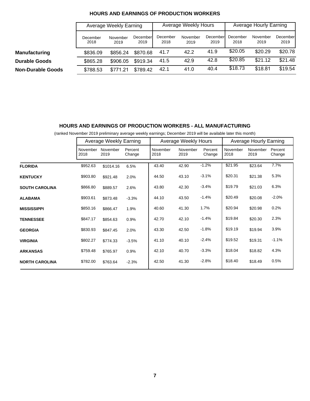|                          |                  | Average Weekly Earning |                  |                  | Average Weekly Hours |                  | Average Hourly Earning |                  |                  |  |
|--------------------------|------------------|------------------------|------------------|------------------|----------------------|------------------|------------------------|------------------|------------------|--|
|                          | December<br>2018 | November<br>2019       | December<br>2019 | December<br>2018 | November<br>2019     | December<br>2019 | December<br>2018       | November<br>2019 | December<br>2019 |  |
| <b>Manufacturing</b>     | \$836.09         | \$856.24               | \$870.68         | 41.7             | 42.2                 | 41.9             | \$20.05                | \$20.29          | \$20.78          |  |
| <b>Durable Goods</b>     | \$865.28         | \$906.05               | \$919.34         | 41.5             | 42.9                 | 42.8             | \$20.85                | \$21.12          | \$21.48          |  |
| <b>Non-Durable Goods</b> | \$788.53         | \$771.21               | \$789.42         | 42.1             | 41.0                 | 40.4             | \$18.73                | \$18.81          | \$19.54          |  |

#### **HOURS AND EARNINGS OF PRODUCTION WORKERS**

#### **HOURS AND EARNINGS OF PRODUCTION WORKERS - ALL MANUFACTURING**

(ranked November 2019 preliminary average weekly earnings; December 2019 will be available later this month)

|                       |                  | Average Weekly Earning |                   |                  | Average Weekly Hours |                   | Average Hourly Earning |                  |                   |  |
|-----------------------|------------------|------------------------|-------------------|------------------|----------------------|-------------------|------------------------|------------------|-------------------|--|
|                       | November<br>2018 | November<br>2019       | Percent<br>Change | November<br>2018 | November<br>2019     | Percent<br>Change | November<br>2018       | November<br>2019 | Percent<br>Change |  |
| <b>FLORIDA</b>        | \$952.63         | \$1014.16              | 6.5%              | 43.40            | 42.90                | $-1.2%$           | \$21.95                | \$23.64          | 7.7%              |  |
| <b>KENTUCKY</b>       | \$903.80         | \$921.48               | 2.0%              | 44.50            | 43.10                | $-3.1%$           | \$20.31                | \$21.38          | 5.3%              |  |
| <b>SOUTH CAROLINA</b> | \$866.80         | \$889.57               | 2.6%              | 43.80            | 42.30                | $-3.4%$           | \$19.79                | \$21.03          | 6.3%              |  |
| <b>ALABAMA</b>        | \$903.61         | \$873.48               | $-3.3%$           | 44.10            | 43.50                | $-1.4%$           | \$20.49                | \$20.08          | $-2.0%$           |  |
| <b>MISSISSIPPI</b>    | \$850.16         | \$866.47               | 1.9%              | 40.60            | 41.30                | 1.7%              | \$20.94                | \$20.98          | 0.2%              |  |
| <b>TENNESSEE</b>      | \$847.17         | \$854.63               | 0.9%              | 42.70            | 42.10                | $-1.4%$           | \$19.84                | \$20.30          | 2.3%              |  |
| <b>GEORGIA</b>        | \$830.93         | \$847.45               | 2.0%              | 43.30            | 42.50                | $-1.8%$           | \$19.19                | \$19.94          | 3.9%              |  |
| <b>VIRGINIA</b>       | \$802.27         | \$774.33               | $-3.5%$           | 41.10            | 40.10                | $-2.4%$           | \$19.52                | \$19.31          | $-1.1%$           |  |
| <b>ARKANSAS</b>       | \$759.48         | \$765.97               | 0.9%              | 42.10            | 40.70                | $-3.3%$           | \$18.04                | \$18.82          | 4.3%              |  |
| <b>NORTH CAROLINA</b> | \$782.00         | \$763.64               | $-2.3%$           | 42.50            | 41.30                | $-2.8%$           | \$18.40                | \$18.49          | 0.5%              |  |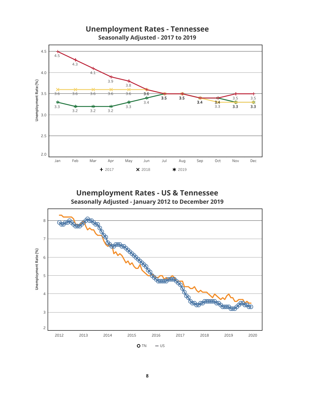



8